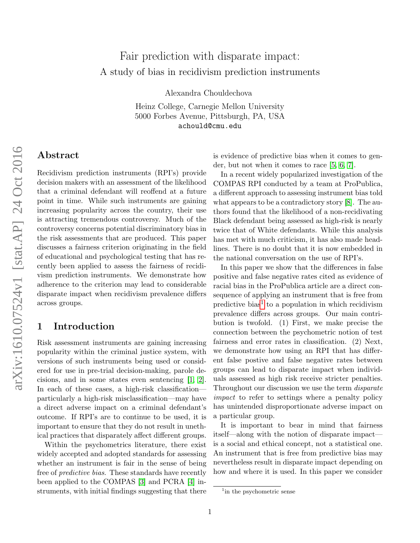# Fair prediction with disparate impact: A study of bias in recidivism prediction instruments

Alexandra Chouldechova

Heinz College, Carnegie Mellon University 5000 Forbes Avenue, Pittsburgh, PA, USA achould@cmu.edu

# Abstract

Recidivism prediction instruments (RPI's) provide decision makers with an assessment of the likelihood that a criminal defendant will reoffend at a future point in time. While such instruments are gaining increasing popularity across the country, their use is attracting tremendous controversy. Much of the controversy concerns potential discriminatory bias in the risk assessments that are produced. This paper discusses a fairness criterion originating in the field of educational and psychological testing that has recently been applied to assess the fairness of recidivism prediction instruments. We demonstrate how adherence to the criterion may lead to considerable disparate impact when recidivism prevalence differs across groups.

### 1 Introduction

Risk assessment instruments are gaining increasing popularity within the criminal justice system, with versions of such instruments being used or considered for use in pre-trial decision-making, parole decisions, and in some states even sentencing [\[1,](#page-4-0) [2\]](#page-4-1). In each of these cases, a high-risk classification particularly a high-risk misclassification—may have a direct adverse impact on a criminal defendant's outcome. If RPI's are to continue to be used, it is important to ensure that they do not result in unethical practices that disparately affect different groups.

Within the psychometrics literature, there exist widely accepted and adopted standards for assessing whether an instrument is fair in the sense of being free of predictive bias. These standards have recently been applied to the COMPAS [\[3\]](#page-4-2) and PCRA [\[4\]](#page-4-3) instruments, with initial findings suggesting that there is evidence of predictive bias when it comes to gender, but not when it comes to race [\[5,](#page-4-4) [6,](#page-4-5) [7\]](#page-4-6).

In a recent widely popularized investigation of the COMPAS RPI conducted by a team at ProPublica, a different approach to assessing instrument bias told what appears to be a contradictory story [\[8\]](#page-4-7). The authors found that the likelihood of a non-recidivating Black defendant being assessed as high-risk is nearly twice that of White defendants. While this analysis has met with much criticism, it has also made headlines. There is no doubt that it is now embedded in the national conversation on the use of RPI's.

In this paper we show that the differences in false positive and false negative rates cited as evidence of racial bias in the ProPublica article are a direct consequence of applying an instrument that is free from predictive bias<sup>[1](#page-0-0)</sup> to a population in which recidivism prevalence differs across groups. Our main contribution is twofold. (1) First, we make precise the connection between the psychometric notion of test fairness and error rates in classification. (2) Next, we demonstrate how using an RPI that has different false postive and false negative rates between groups can lead to disparate impact when individuals assessed as high risk receive stricter penalties. Throughout our discussion we use the term disparate impact to refer to settings where a penalty policy has unintended disproportionate adverse impact on a particular group.

It is important to bear in mind that fairness itself—along with the notion of disparate impact is a social and ethical concept, not a statistical one. An instrument that is free from predictive bias may nevertheless result in disparate impact depending on how and where it is used. In this paper we consider

<span id="page-0-0"></span><sup>&</sup>lt;sup>1</sup>in the psychometric sense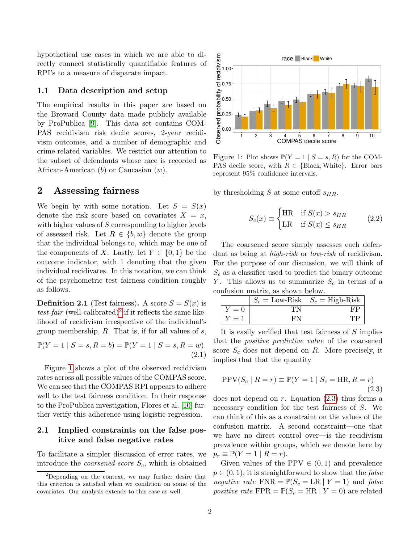hypothetical use cases in which we are able to directly connect statistically quantifiable features of RPI's to a measure of disparate impact.

#### 1.1 Data description and setup

The empirical results in this paper are based on the Broward County data made publicly available by ProPublica [\[9\]](#page-4-8). This data set contains COM-PAS recidivism risk decile scores, 2-year recidivism outcomes, and a number of demographic and crime-related variables. We restrict our attention to the subset of defendants whose race is recorded as African-American  $(b)$  or Caucasian  $(w)$ .

## 2 Assessing fairness

We begin by with some notation. Let  $S = S(x)$ denote the risk score based on covariates  $X = x$ , with higher values of S corresponding to higher levels of assessed risk. Let  $R \in \{b, w\}$  denote the group that the individual belongs to, which may be one of the components of X. Lastly, let  $Y \in \{0,1\}$  be the outcome indicator, with 1 denoting that the given individual recidivates. In this notation, we can think of the psychometric test fairness condition roughly as follows.

**Definition 2.1** (Test fairness). A score  $S = S(x)$  is test-fair (well-calibrated)<sup>[2](#page-1-0)</sup> if it reflects the same likelihood of recidivism irrespective of the individual's group membership,  $R$ . That is, if for all values of  $s$ ,

$$
\mathbb{P}(Y = 1 | S = s, R = b) = \mathbb{P}(Y = 1 | S = s, R = w).
$$
\n(2.1)

Figure [1](#page-1-1) shows a plot of the observed recidivism rates across all possible values of the COMPAS score. We can see that the COMPAS RPI appears to adhere well to the test fairness condition. In their response to the ProPublica investigation, Flores et al. [\[10\]](#page-5-0) further verify this adherence using logistic regression.

#### 2.1 Implied constraints on the false positive and false negative rates

To facilitate a simpler discussion of error rates, we introduce the *coarsened score*  $S_c$ , which is obtained

<span id="page-1-1"></span>

Figure 1: Plot shows  $\mathbb{P}(Y = 1 \mid S = s, R)$  for the COM-PAS decile score, with  $R \in \{\text{Black}, \text{White}\}\text{.}$  Error bars represent 95% confidence intervals.

by thresholding S at some cutoff  $s_{HR}$ .

$$
S_c(x) \equiv \begin{cases} \text{HR} & \text{if } S(x) > s_{HR} \\ \text{LR} & \text{if } S(x) \le s_{HR} \end{cases} \tag{2.2}
$$

The coarsened score simply assesses each defendant as being at high-risk or low-risk of recidivism. For the purpose of our discussion, we will think of  $S_c$  as a classifier used to predict the binary outcome Y. This allows us to summarize  $S_c$  in terms of a confusion matrix, as shown below.

|       |     | $S_c =$ Low-Risk $S_c =$ High-Risk |
|-------|-----|------------------------------------|
| $Y=0$ |     |                                    |
| $Y=1$ | Е'N |                                    |

It is easily verified that test fairness of S implies that the positive predictive value of the coarsened score  $S_c$  does not depend on  $R$ . More precisely, it implies that that the quantity

<span id="page-1-2"></span>
$$
PPV(S_c | R = r) \equiv \mathbb{P}(Y = 1 | S_c = HR, R = r)
$$
\n(2.3)

does not depend on  $r$ . Equation [\(2.3\)](#page-1-2) thus forms a necessary condition for the test fairness of S. We can think of this as a constraint on the values of the confusion matrix. A second constraint—one that we have no direct control over—is the recidivism prevalence within groups, which we denote here by  $p_r \equiv \mathbb{P}(Y=1 \mid R=r).$ 

Given values of the PPV  $\in (0,1)$  and prevalence  $p \in (0, 1)$ , it is straightforward to show that the *false* negative rate  $\text{FNR} = \mathbb{P}(S_c = \text{LR} | Y = 1)$  and false positive rate  $\text{FPR} = \mathbb{P}(S_c = \text{HR} | Y = 0)$  are related

<span id="page-1-0"></span><sup>2</sup>Depending on the context, we may further desire that this criterion is satisfied when we condition on some of the covariates. Our analysis extends to this case as well.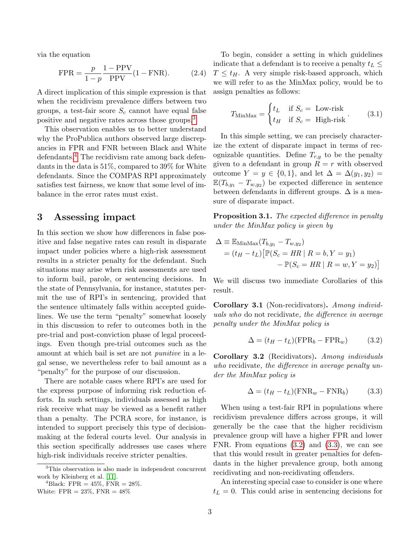via the equation

$$
\text{FPR} = \frac{p}{1 - p} \frac{1 - \text{PPV}}{\text{PPV}} (1 - \text{FNR}). \tag{2.4}
$$

A direct implication of this simple expression is that when the recidivism prevalence differs between two groups, a test-fair score  $S_c$  cannot have equal false positive and negative rates across those groups.[3](#page-2-0)

This observation enables us to better understand why the ProPublica authors observed large discrepancies in FPR and FNR between Black and White defendants.<sup>[4](#page-2-1)</sup> The recidivism rate among back defendants in the data is 51%, compared to 39% for White defendants. Since the COMPAS RPI approximately satisfies test fairness, we know that some level of imbalance in the error rates must exist.

### 3 Assessing impact

In this section we show how differences in false positive and false negative rates can result in disparate impact under policies where a high-risk assessment results in a stricter penalty for the defendant. Such situations may arise when risk assessments are used to inform bail, parole, or sentencing decisions. In the state of Pennsylvania, for instance, statutes permit the use of RPI's in sentencing, provided that the sentence ultimately falls within accepted guidelines. We use the term "penalty" somewhat loosely in this discussion to refer to outcomes both in the pre-trial and post-conviction phase of legal proceedings. Even though pre-trial outcomes such as the amount at which bail is set are not punitive in a legal sense, we nevertheless refer to bail amount as a "penalty" for the purpose of our discussion.

There are notable cases where RPI's are used for the express purpose of informing risk reduction efforts. In such settings, individuals assessed as high risk receive what may be viewed as a benefit rather than a penalty. The PCRA score, for instance, is intended to support precisely this type of decisionmaking at the federal courts level. Our analysis in this section specifically addresses use cases where high-risk individuals receive stricter penalties.

To begin, consider a setting in which guidelines indicate that a defendant is to receive a penalty  $t_L \leq$  $T \leq t_H$ . A very simple risk-based approach, which we will refer to as the MinMax policy, would be to assign penalties as follows:

$$
T_{\text{MinMax}} = \begin{cases} t_L & \text{if } S_c = \text{ Low-risk} \\ t_H & \text{if } S_c = \text{ High-risk} \end{cases} \tag{3.1}
$$

In this simple setting, we can precisely characterize the extent of disparate impact in terms of recognizable quantities. Define  $T_{r,y}$  to be the penalty given to a defendant in group  $R = r$  with observed outcome  $Y = y \in \{0,1\}$ , and let  $\Delta = \Delta(y_1, y_2)$  $\mathbb{E}(T_{b,y_1}-T_{w,y_2})$  be expected difference in sentence between defendants in different groups.  $\Delta$  is a measure of disparate impact.

**Proposition 3.1.** The expected difference in penalty under the MinMax policy is given by

$$
\Delta \equiv \mathbb{E}_{\text{MinMax}}(T_{b,y_1} - T_{w,y_2})
$$
  
=  $(t_H - t_L) [\mathbb{P}(S_c = HR \mid R = b, Y = y_1)$   
 $-\mathbb{P}(S_c = HR \mid R = w, Y = y_2)]$ 

We will discuss two immediate Corollaries of this result.

Corollary 3.1 (Non-recidivators). Among individuals who do not recidivate, the difference in average penalty under the MinMax policy is

<span id="page-2-2"></span>
$$
\Delta = (t_H - t_L)(\text{FPR}_b - \text{FPR}_w) \tag{3.2}
$$

Corollary 3.2 (Recidivators). Among individuals who recidivate, the difference in average penalty under the MinMax policy is

<span id="page-2-3"></span>
$$
\Delta = (t_H - t_L)(\text{FNR}_w - \text{FNR}_b) \tag{3.3}
$$

When using a test-fair RPI in populations where recidivism prevalence differs across groups, it will generally be the case that the higher recidivism prevalence group will have a higher FPR and lower FNR. From equations [\(3.2\)](#page-2-2) and [\(3.3\)](#page-2-3), we can see that this would result in greater penalties for defendants in the higher prevalence group, both among recidivating and non-recidivating offenders.

An interesting special case to consider is one where  $t_L = 0$ . This could arise in sentencing decisions for

<span id="page-2-0"></span><sup>3</sup>This observation is also made in independent concurrent work by Kleinberg et al. [\[11\]](#page-5-1).

<span id="page-2-1"></span><sup>&</sup>lt;sup>4</sup>Black: FPR =  $45\%$ , FNR =  $28\%$ .

White:  $FPR = 23\%$ ,  $FNR = 48\%$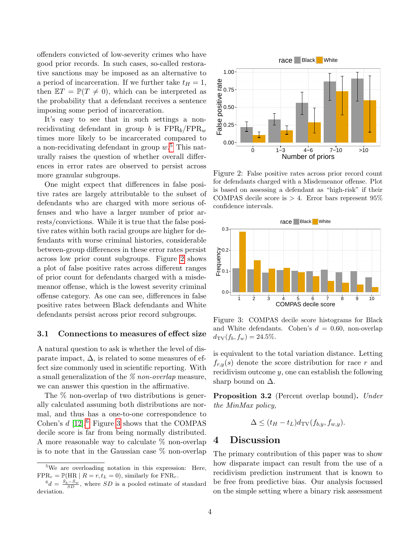offenders convicted of low-severity crimes who have good prior records. In such cases, so-called restorative sanctions may be imposed as an alternative to a period of incarceration. If we further take  $t_H = 1$ , then  $\mathbb{E}T = \mathbb{P}(T \neq 0)$ , which can be interpreted as the probability that a defendant receives a sentence imposing some period of incarceration.

It's easy to see that in such settings a nonrecidivating defendant in group b is  $\text{FPR}_b/\text{FPR}_w$ times more likely to be incarcerated compared to a non-recidivating defendant in group  $w<sup>5</sup>$  $w<sup>5</sup>$  $w<sup>5</sup>$ . This naturally raises the question of whether overall differences in error rates are observed to persist across more granular subgroups.

One might expect that differences in false positive rates are largely attributable to the subset of defendants who are charged with more serious offenses and who have a larger number of prior arrests/convictions. While it is true that the false positive rates within both racial groups are higher for defendants with worse criminal histories, considerable between-group differences in these error rates persist across low prior count subgroups. Figure [2](#page-3-1) shows a plot of false positive rates across different ranges of prior count for defendants charged with a misdemeanor offense, which is the lowest severity criminal offense category. As one can see, differences in false positive rates between Black defendants and White defendants persist across prior record subgroups.

#### 3.1 Connections to measures of effect size

A natural question to ask is whether the level of disparate impact,  $\Delta$ , is related to some measures of effect size commonly used in scientific reporting. With a small generalization of the % non-overlap measure, we can answer this question in the affirmative.

The % non-overlap of two distributions is generally calculated assuming both distributions are normal, and thus has a one-to-one correspondence to Cohen's  $d$  [\[12\]](#page-5-2).<sup>[6](#page-3-2)</sup> Figure [3](#page-3-3) shows that the COMPAS decile score is far from being normally distributed. A more reasonable way to calculate % non-overlap is to note that in the Gaussian case % non-overlap

<span id="page-3-1"></span>

Figure 2: False positive rates across prior record count for defendants charged with a Misdemeanor offense. Plot is based on assessing a defendant as "high-risk" if their COMPAS decile score is  $> 4$ . Error bars represent 95% confidence intervals.

<span id="page-3-3"></span>

Figure 3: COMPAS decile score histograms for Black and White defendants. Cohen's  $d = 0.60$ , non-overlap  $d_{\text{TV}}(f_b, f_w) = 24.5\%.$ 

is equivalent to the total variation distance. Letting  $f_{r,y}(s)$  denote the score distribution for race r and recidivism outcome  $y$ , one can establish the following sharp bound on  $\Delta$ .

Proposition 3.2 (Percent overlap bound). Under the MinMax policy,

$$
\Delta \le (t_H - t_L) d_{\mathrm{TV}}(f_{b,y}, f_{w,y}).
$$

### 4 Discussion

The primary contribution of this paper was to show how disparate impact can result from the use of a recidivism prediction instrument that is known to be free from predictive bias. Our analysis focussed on the simple setting where a binary risk assessment

<span id="page-3-0"></span><sup>&</sup>lt;sup>5</sup>We are overloading notation in this expression: Here,  $FPR_r = \mathbb{P}(HR \mid R = r, t_L = 0)$ , similarly for  $FNR_r$ .

<span id="page-3-2"></span> $^{6}d = \frac{\bar{S}_{b}-\bar{S}_{w}}{SD}$ , where SD is a pooled estimate of standard deviation.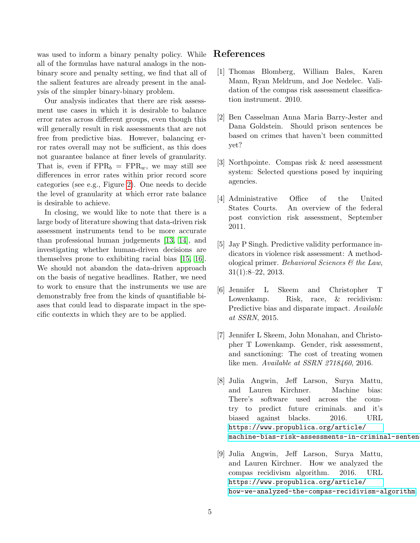was used to inform a binary penalty policy. While all of the formulas have natural analogs in the nonbinary score and penalty setting, we find that all of the salient features are already present in the analysis of the simpler binary-binary problem.

Our analysis indicates that there are risk assessment use cases in which it is desirable to balance error rates across different groups, even though this will generally result in risk assessments that are not free from predictive bias. However, balancing error rates overall may not be sufficient, as this does not guarantee balance at finer levels of granularity. That is, even if  $\text{FPR}_b = \text{FPR}_w$ , we may still see differences in error rates within prior record score categories (see e.g., Figure [2\)](#page-3-1). One needs to decide the level of granularity at which error rate balance is desirable to achieve.

In closing, we would like to note that there is a large body of literature showing that data-driven risk assessment instruments tend to be more accurate than professional human judgements [\[13,](#page-5-3) [14\]](#page-5-4), and investigating whether human-driven decisions are themselves prone to exhibiting racial bias [\[15,](#page-5-5) [16\]](#page-5-6). We should not abandon the data-driven approach on the basis of negative headlines. Rather, we need to work to ensure that the instruments we use are demonstrably free from the kinds of quantifiable biases that could lead to disparate impact in the specific contexts in which they are to be applied.

## References

- <span id="page-4-0"></span>[1] Thomas Blomberg, William Bales, Karen Mann, Ryan Meldrum, and Joe Nedelec. Validation of the compas risk assessment classification instrument. 2010.
- <span id="page-4-1"></span>[2] Ben Casselman Anna Maria Barry-Jester and Dana Goldstein. Should prison sentences be based on crimes that haven't been committed yet?
- <span id="page-4-2"></span>[3] Northpointe. Compas risk & need assessment system: Selected questions posed by inquiring agencies.
- <span id="page-4-3"></span>[4] Administrative Office of the United States Courts. An overview of the federal post conviction risk assessment, September 2011.
- <span id="page-4-4"></span>[5] Jay P Singh. Predictive validity performance indicators in violence risk assessment: A methodological primer. Behavioral Sciences  $\mathcal{C}$  the Law, 31(1):8–22, 2013.
- <span id="page-4-5"></span>[6] Jennifer L Skeem and Christopher T Lowenkamp. Risk, race,  $\&$  recidivism: Predictive bias and disparate impact. Available at SSRN, 2015.
- <span id="page-4-6"></span>[7] Jennifer L Skeem, John Monahan, and Christopher T Lowenkamp. Gender, risk assessment, and sanctioning: The cost of treating women like men. Available at SSRN 2718460, 2016.
- <span id="page-4-7"></span>[8] Julia Angwin, Jeff Larson, Surya Mattu, and Lauren Kirchner. Machine bias: There's software used across the country to predict future criminals. and it's biased against blacks. 2016. URL [https://www.propublica.org/article/](https://www.propublica.org/article/machine- bias-risk-assessments-in-criminal-sentencing) machine-bias-risk-assessments-in-criminal-senten
- <span id="page-4-8"></span>[9] Julia Angwin, Jeff Larson, Surya Mattu, and Lauren Kirchner. How we analyzed the compas recidivism algorithm. 2016. URL [https://www.propublica.org/article/](https://www.propublica.org/article/how- we-analyzed-the-compas-recidivism-algorithm) [how-we-analyzed-the-compas-recidivism-algorithm](https://www.propublica.org/article/how- we-analyzed-the-compas-recidivism-algorithm).